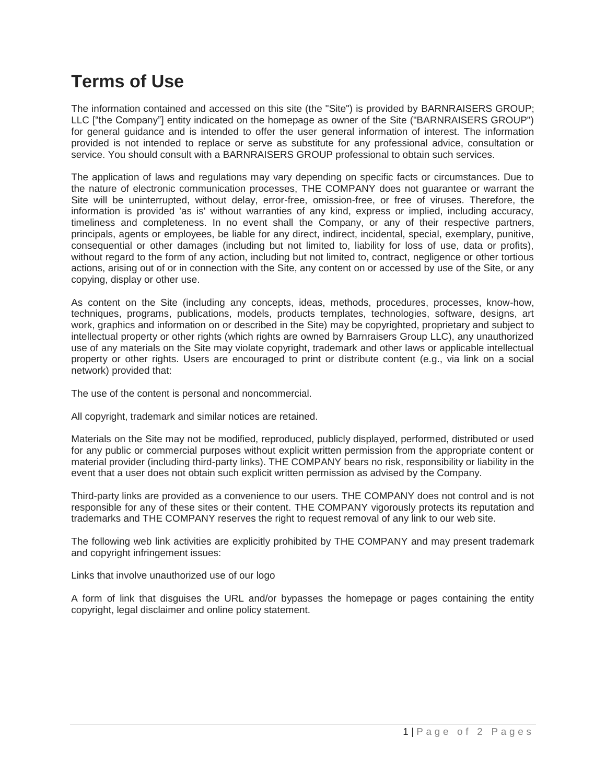## **Terms of Use**

The information contained and accessed on this site (the "Site") is provided by BARNRAISERS GROUP; LLC ["the Company"] entity indicated on the homepage as owner of the Site ("BARNRAISERS GROUP") for general guidance and is intended to offer the user general information of interest. The information provided is not intended to replace or serve as substitute for any professional advice, consultation or service. You should consult with a BARNRAISERS GROUP professional to obtain such services.

The application of laws and regulations may vary depending on specific facts or circumstances. Due to the nature of electronic communication processes, THE COMPANY does not guarantee or warrant the Site will be uninterrupted, without delay, error-free, omission-free, or free of viruses. Therefore, the information is provided 'as is' without warranties of any kind, express or implied, including accuracy, timeliness and completeness. In no event shall the Company, or any of their respective partners, principals, agents or employees, be liable for any direct, indirect, incidental, special, exemplary, punitive, consequential or other damages (including but not limited to, liability for loss of use, data or profits), without regard to the form of any action, including but not limited to, contract, negligence or other tortious actions, arising out of or in connection with the Site, any content on or accessed by use of the Site, or any copying, display or other use.

As content on the Site (including any concepts, ideas, methods, procedures, processes, know-how, techniques, programs, publications, models, products templates, technologies, software, designs, art work, graphics and information on or described in the Site) may be copyrighted, proprietary and subject to intellectual property or other rights (which rights are owned by Barnraisers Group LLC), any unauthorized use of any materials on the Site may violate copyright, trademark and other laws or applicable intellectual property or other rights. Users are encouraged to print or distribute content (e.g., via link on a social network) provided that:

The use of the content is personal and noncommercial.

All copyright, trademark and similar notices are retained.

Materials on the Site may not be modified, reproduced, publicly displayed, performed, distributed or used for any public or commercial purposes without explicit written permission from the appropriate content or material provider (including third-party links). THE COMPANY bears no risk, responsibility or liability in the event that a user does not obtain such explicit written permission as advised by the Company.

Third-party links are provided as a convenience to our users. THE COMPANY does not control and is not responsible for any of these sites or their content. THE COMPANY vigorously protects its reputation and trademarks and THE COMPANY reserves the right to request removal of any link to our web site.

The following web link activities are explicitly prohibited by THE COMPANY and may present trademark and copyright infringement issues:

Links that involve unauthorized use of our logo

A form of link that disguises the URL and/or bypasses the homepage or pages containing the entity copyright, legal disclaimer and online policy statement.